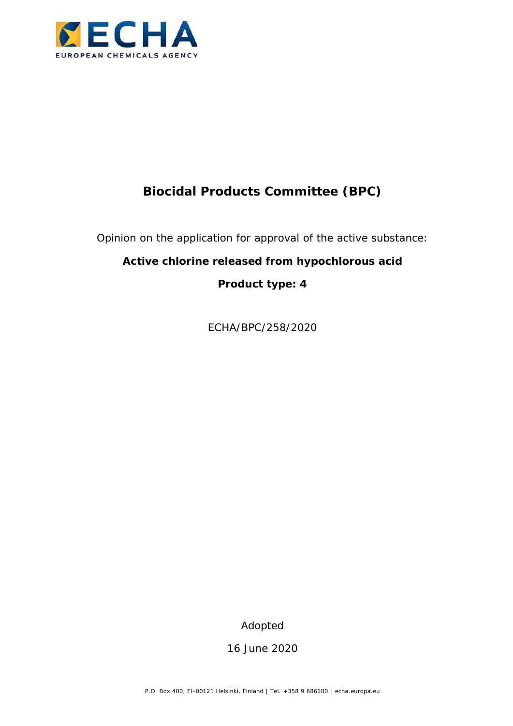

# **Biocidal Products Committee (BPC)**

Opinion on the application for approval of the active substance:

## **Active chlorine released from hypochlorous acid**

**Product type: 4**

ECHA/BPC/258/2020

Adopted

16 June 2020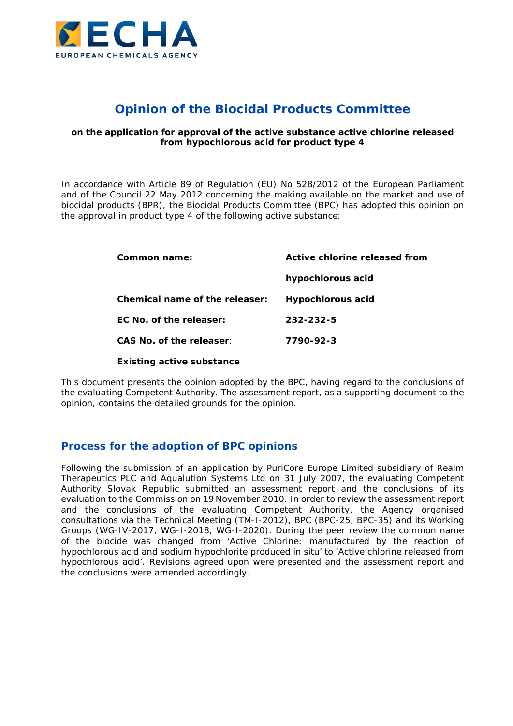

## **Opinion of the Biocidal Products Committee**

#### **on the application for approval of the active substance active chlorine released from hypochlorous acid for product type 4**

In accordance with Article 89 of Regulation (EU) No 528/2012 of the European Parliament and of the Council 22 May 2012 concerning the making available on the market and use of biocidal products (BPR), the Biocidal Products Committee (BPC) has adopted this opinion on the approval in product type 4 of the following active substance:

| Common name:                     | Active chlorine released from |  |
|----------------------------------|-------------------------------|--|
|                                  | hypochlorous acid             |  |
| Chemical name of the releaser:   | Hypochlorous acid             |  |
| EC No. of the releaser:          | 232-232-5                     |  |
| CAS No. of the releaser:         | 7790-92-3                     |  |
| <b>Existing active substance</b> |                               |  |

This document presents the opinion adopted by the BPC, having regard to the conclusions of the evaluating Competent Authority. The assessment report, as a supporting document to the opinion, contains the detailed grounds for the opinion.

#### **Process for the adoption of BPC opinions**

Following the submission of an application by PuriCore Europe Limited subsidiary of Realm Therapeutics PLC and Aqualution Systems Ltd on 31 July 2007, the evaluating Competent Authority Slovak Republic submitted an assessment report and the conclusions of its evaluation to the Commission on 19 November 2010. In order to review the assessment report and the conclusions of the evaluating Competent Authority, the Agency organised consultations via the Technical Meeting (TM-I-2012), BPC (BPC-25, BPC-35) and its Working Groups (WG-IV-2017, WG-I-2018, WG-I-2020). During the peer review the common name of the biocide was changed from 'Active Chlorine: manufactured by the reaction of hypochlorous acid and sodium hypochlorite produced *in situ*' to 'Active chlorine released from hypochlorous acid'. Revisions agreed upon were presented and the assessment report and the conclusions were amended accordingly.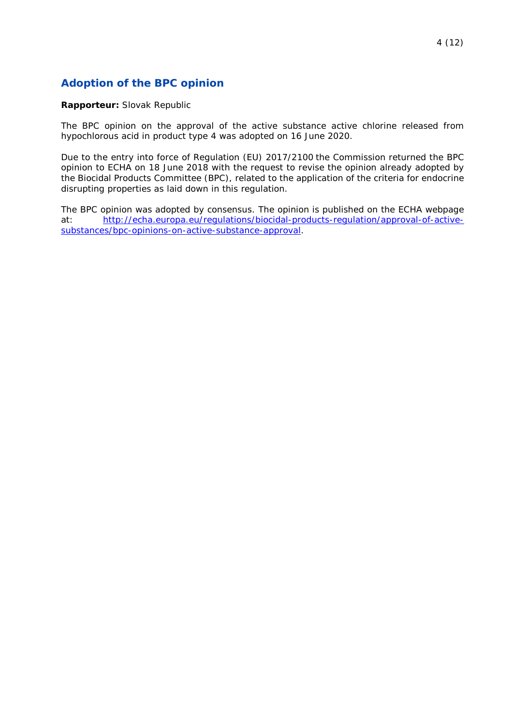## **Adoption of the BPC opinion**

#### **Rapporteur:** Slovak Republic

The BPC opinion on the approval of the active substance active chlorine released from hypochlorous acid in product type 4 was adopted on 16 June 2020.

Due to the entry into force of Regulation (EU) 2017/2100 the Commission returned the BPC opinion to ECHA on 18 June 2018 with the request to revise the opinion already adopted by the Biocidal Products Committee (BPC), related to the application of the criteria for endocrine disrupting properties as laid down in this regulation.

The BPC opinion was adopted by consensus. The opinion is published on the ECHA webpage at: [http://echa.europa.eu/regulations/biocidal-products-regulation/approval-of-active](http://echa.europa.eu/regulations/biocidal-products-regulation/approval-of-active-substances/bpc-opinions-on-active-substance-approval)[substances/bpc-opinions-on-active-substance-approval.](http://echa.europa.eu/regulations/biocidal-products-regulation/approval-of-active-substances/bpc-opinions-on-active-substance-approval)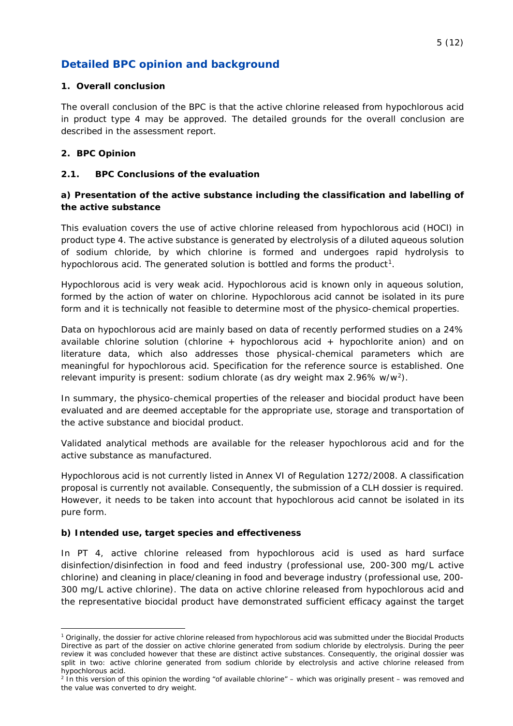## **Detailed BPC opinion and background**

#### **1. Overall conclusion**

The overall conclusion of the BPC is that the active chlorine released from hypochlorous acid in product type 4 may be approved. The detailed grounds for the overall conclusion are described in the assessment report.

#### **2. BPC Opinion**

#### **2.1. BPC Conclusions of the evaluation**

#### **a) Presentation of the active substance including the classification and labelling of the active substance**

This evaluation covers the use of active chlorine released from hypochlorous acid (HOCl) in product type 4. The active substance is generated by electrolysis of a diluted aqueous solution of sodium chloride, by which chlorine is formed and undergoes rapid hydrolysis to hypochlorous acid. The generated solution is bottled and forms the product<sup>1</sup>.

Hypochlorous acid is very weak acid. Hypochlorous acid is known only in aqueous solution, formed by the action of water on chlorine. Hypochlorous acid cannot be isolated in its pure form and it is technically not feasible to determine most of the physico-chemical properties.

Data on hypochlorous acid are mainly based on data of recently performed studies on a 24% available chlorine solution (chlorine  $+$  hypochlorous acid  $+$  hypochlorite anion) and on literature data, which also addresses those physical-chemical parameters which are meaningful for hypochlorous acid. Specification for the reference source is established. One relevant impurity is present: sodium chlorate (as dry weight max 2.96% w/w[2\)](#page-4-1).

In summary, the physico-chemical properties of the releaser and biocidal product have been evaluated and are deemed acceptable for the appropriate use, storage and transportation of the active substance and biocidal product.

Validated analytical methods are available for the releaser hypochlorous acid and for the active substance as manufactured.

Hypochlorous acid is not currently listed in Annex VI of Regulation 1272/2008. A classification proposal is currently not available. Consequently, the submission of a CLH dossier is required. However, it needs to be taken into account that hypochlorous acid cannot be isolated in its pure form.

#### **b) Intended use, target species and effectiveness**

In PT 4, active chlorine released from hypochlorous acid is used as hard surface disinfection/disinfection in food and feed industry (professional use, 200-300 mg/L active chlorine) and cleaning in place/cleaning in food and beverage industry (professional use, 200- 300 mg/L active chlorine). The data on active chlorine released from hypochlorous acid and the representative biocidal product have demonstrated sufficient efficacy against the target

<span id="page-4-0"></span> <sup>1</sup> Originally, the dossier for active chlorine released from hypochlorous acid was submitted under the Biocidal Products Directive as part of the dossier on active chlorine generated from sodium chloride by electrolysis. During the peer review it was concluded however that these are distinct active substances. Consequently, the original dossier was split in two: active chlorine generated from sodium chloride by electrolysis and active chlorine released from hypochlorous acid.

<span id="page-4-1"></span><sup>2</sup> In this version of this opinion the wording "of available chlorine" – which was originally present – was removed and the value was converted to dry weight.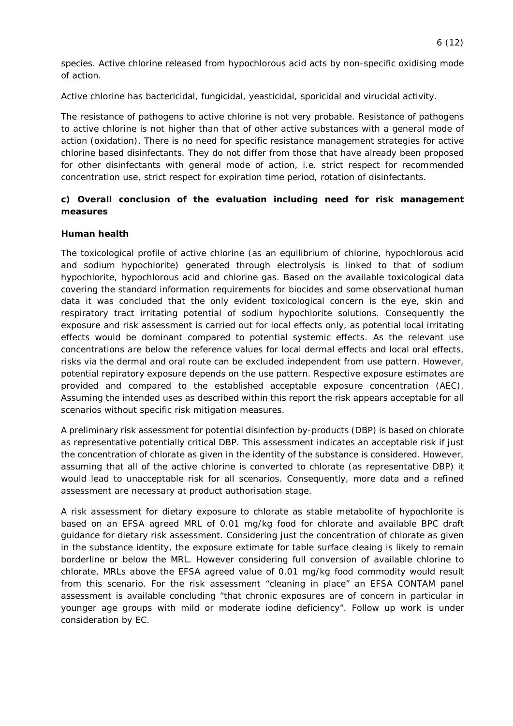species. Active chlorine released from hypochlorous acid acts by non-specific oxidising mode of action.

Active chlorine has bactericidal, fungicidal, yeasticidal, sporicidal and virucidal activity.

The resistance of pathogens to active chlorine is not very probable. Resistance of pathogens to active chlorine is not higher than that of other active substances with a general mode of action (oxidation). There is no need for specific resistance management strategies for active chlorine based disinfectants. They do not differ from those that have already been proposed for other disinfectants with general mode of action, i.e. strict respect for recommended concentration use, strict respect for expiration time period, rotation of disinfectants.

#### **c) Overall conclusion of the evaluation including need for risk management measures**

#### **Human health**

The toxicological profile of active chlorine (as an equilibrium of chlorine, hypochlorous acid and sodium hypochlorite) generated through electrolysis is linked to that of sodium hypochlorite, hypochlorous acid and chlorine gas. Based on the available toxicological data covering the standard information requirements for biocides and some observational human data it was concluded that the only evident toxicological concern is the eye, skin and respiratory tract irritating potential of sodium hypochlorite solutions. Consequently the exposure and risk assessment is carried out for local effects only, as potential local irritating effects would be dominant compared to potential systemic effects. As the relevant use concentrations are below the reference values for local dermal effects and local oral effects, risks via the dermal and oral route can be excluded independent from use pattern. However, potential repiratory exposure depends on the use pattern. Respective exposure estimates are provided and compared to the established acceptable exposure concentration (AEC). Assuming the intended uses as described within this report the risk appears acceptable for all scenarios without specific risk mitigation measures.

A preliminary risk assessment for potential disinfection by-products (DBP) is based on chlorate as representative potentially critical DBP. This assessment indicates an acceptable risk if just the concentration of chlorate as given in the identity of the substance is considered. However, assuming that all of the active chlorine is converted to chlorate (as representative DBP) it would lead to unacceptable risk for all scenarios. Consequently, more data and a refined assessment are necessary at product authorisation stage.

A risk assessment for dietary exposure to chlorate as stable metabolite of hypochlorite is based on an EFSA agreed MRL of 0.01 mg/kg food for chlorate and available BPC draft guidance for dietary risk assessment. Considering just the concentration of chlorate as given in the substance identity, the exposure extimate for table surface cleaing is likely to remain borderline or below the MRL. However considering full conversion of available chlorine to chlorate, MRLs above the EFSA agreed value of 0.01 mg/kg food commodity would result from this scenario. For the risk assessment "cleaning in place" an EFSA CONTAM panel assessment is available concluding "that chronic exposures are of concern in particular in younger age groups with mild or moderate iodine deficiency". Follow up work is under consideration by EC.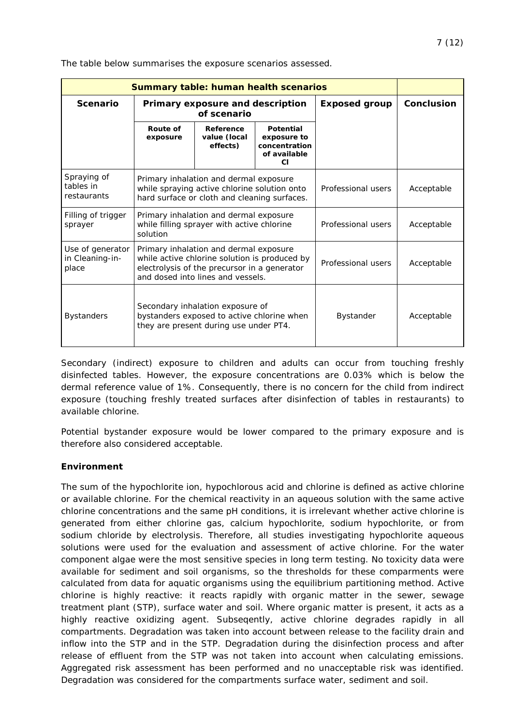| <b>Summary table: human health scenarios</b> |                                                                                                                                                                              |                                       |                                                                               |            |  |
|----------------------------------------------|------------------------------------------------------------------------------------------------------------------------------------------------------------------------------|---------------------------------------|-------------------------------------------------------------------------------|------------|--|
| <b>Scenario</b>                              | Primary exposure and description<br>of scenario                                                                                                                              |                                       | <b>Exposed group</b>                                                          | Conclusion |  |
|                                              | Route of<br>exposure                                                                                                                                                         | Reference<br>value (local<br>effects) | <b>Potential</b><br>exposure to<br>concentration<br>of available<br><b>CI</b> |            |  |
| Spraying of<br>tables in<br>restaurants      | Primary inhalation and dermal exposure<br>while spraying active chlorine solution onto<br>hard surface or cloth and cleaning surfaces.                                       |                                       | Professional users                                                            | Acceptable |  |
| Filling of trigger<br>sprayer                | Primary inhalation and dermal exposure<br>while filling sprayer with active chlorine<br>solution                                                                             |                                       | Professional users                                                            | Acceptable |  |
| Use of generator<br>in Cleaning-in-<br>place | Primary inhalation and dermal exposure<br>while active chlorine solution is produced by<br>electrolysis of the precursor in a generator<br>and dosed into lines and vessels. |                                       | Professional users                                                            | Acceptable |  |
| <b>Bystanders</b>                            | Secondary inhalation exposure of<br>bystanders exposed to active chlorine when<br>they are present during use under PT4.                                                     |                                       | Bystander                                                                     | Acceptable |  |

Secondary (indirect) exposure to children and adults can occur from touching freshly disinfected tables. However, the exposure concentrations are 0.03% which is below the dermal reference value of 1%. Consequently, there is no concern for the child from indirect exposure (touching freshly treated surfaces after disinfection of tables in restaurants) to available chlorine.

Potential bystander exposure would be lower compared to the primary exposure and is therefore also considered acceptable.

#### **Environment**

The sum of the hypochlorite ion, hypochlorous acid and chlorine is defined as active chlorine or available chlorine. For the chemical reactivity in an aqueous solution with the same active chlorine concentrations and the same pH conditions, it is irrelevant whether active chlorine is generated from either chlorine gas, calcium hypochlorite, sodium hypochlorite, or from sodium chloride by electrolysis. Therefore, all studies investigating hypochlorite aqueous solutions were used for the evaluation and assessment of active chlorine. For the water component algae were the most sensitive species in long term testing. No toxicity data were available for sediment and soil organisms, so the thresholds for these comparments were calculated from data for aquatic organisms using the equilibrium partitioning method. Active chlorine is highly reactive: it reacts rapidly with organic matter in the sewer, sewage treatment plant (STP), surface water and soil. Where organic matter is present, it acts as a highly reactive oxidizing agent. Subseqently, active chlorine degrades rapidly in all compartments. Degradation was taken into account between release to the facility drain and inflow into the STP and in the STP. Degradation during the disinfection process and after release of effluent from the STP was not taken into account when calculating emissions. Aggregated risk assessment has been performed and no unacceptable risk was identified. Degradation was considered for the compartments surface water, sediment and soil.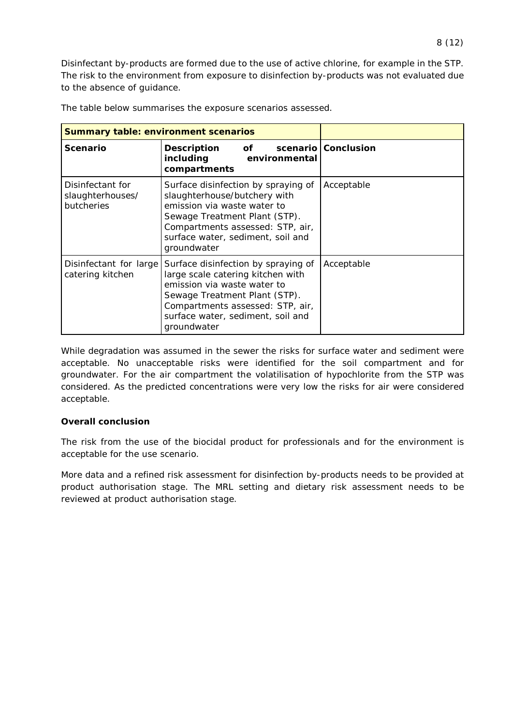Disinfectant by-products are formed due to the use of active chlorine, for example in the STP. The risk to the environment from exposure to disinfection by-products was not evaluated due to the absence of guidance.

| <b>Summary table: environment scenarios</b>        |                                                                                                                                                                                                                                  |                       |
|----------------------------------------------------|----------------------------------------------------------------------------------------------------------------------------------------------------------------------------------------------------------------------------------|-----------------------|
| <b>Scenario</b>                                    | of the contract of the contract of the contract of the contract of the contract of the contract of the contract<br><b>Description</b><br>including<br>environmental<br>compartments                                              | scenario   Conclusion |
| Disinfectant for<br>slaughterhouses/<br>butcheries | Surface disinfection by spraying of<br>slaughterhouse/butchery with<br>emission via waste water to<br>Sewage Treatment Plant (STP).<br>Compartments assessed: STP, air,<br>surface water, sediment, soil and<br>groundwater      | Acceptable            |
| Disinfectant for large<br>catering kitchen         | Surface disinfection by spraying of<br>large scale catering kitchen with<br>emission via waste water to<br>Sewage Treatment Plant (STP).<br>Compartments assessed: STP, air,<br>surface water, sediment, soil and<br>groundwater | Acceptable            |

The table below summarises the exposure scenarios assessed.

While degradation was assumed in the sewer the risks for surface water and sediment were acceptable. No unacceptable risks were identified for the soil compartment and for groundwater. For the air compartment the volatilisation of hypochlorite from the STP was considered. As the predicted concentrations were very low the risks for air were considered acceptable.

#### **Overall conclusion**

The risk from the use of the biocidal product for professionals and for the environment is acceptable for the use scenario.

More data and a refined risk assessment for disinfection by-products needs to be provided at product authorisation stage. The MRL setting and dietary risk assessment needs to be reviewed at product authorisation stage.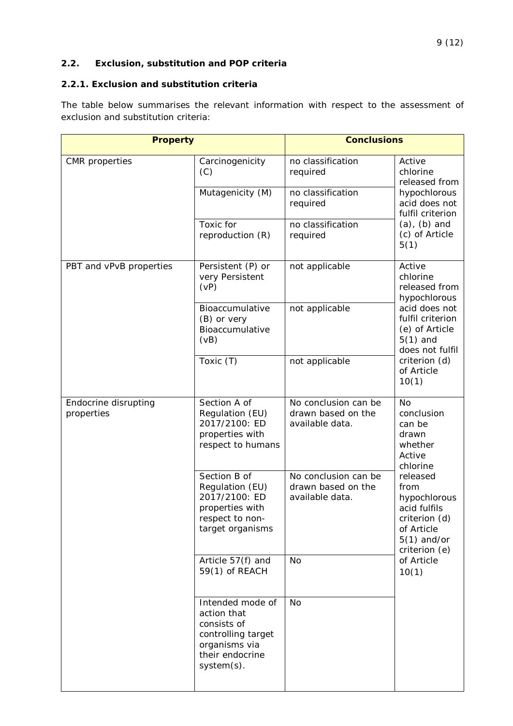#### **2.2. Exclusion, substitution and POP criteria**

#### **2.2.1. Exclusion and substitution criteria**

The table below summarises the relevant information with respect to the assessment of exclusion and substitution criteria:

| <b>Property</b>                    |                                                                                                                        | <b>Conclusions</b>                                            |                                                                                                                                                                                                  |  |
|------------------------------------|------------------------------------------------------------------------------------------------------------------------|---------------------------------------------------------------|--------------------------------------------------------------------------------------------------------------------------------------------------------------------------------------------------|--|
| <b>CMR</b> properties              | Carcinogenicity<br>(C)                                                                                                 | no classification<br>required                                 | Active<br>chlorine<br>released from<br>hypochlorous<br>acid does not<br>fulfil criterion                                                                                                         |  |
|                                    | Mutagenicity (M)                                                                                                       | no classification<br>required                                 |                                                                                                                                                                                                  |  |
|                                    | Toxic for<br>reproduction (R)                                                                                          | no classification<br>required                                 | $(a)$ , $(b)$ and<br>(c) of Article<br>5(1)                                                                                                                                                      |  |
| PBT and vPvB properties            | Persistent (P) or<br>very Persistent<br>(vP)                                                                           | not applicable                                                | Active<br>chlorine<br>released from<br>hypochlorous<br>acid does not<br>fulfil criterion<br>(e) of Article<br>$5(1)$ and<br>does not fulfil<br>criterion (d)<br>of Article<br>10(1)              |  |
|                                    | Bioaccumulative<br>(B) or very<br>Bioaccumulative<br>(vB)                                                              | not applicable                                                |                                                                                                                                                                                                  |  |
|                                    | Toxic (T)                                                                                                              | not applicable                                                |                                                                                                                                                                                                  |  |
| Endocrine disrupting<br>properties | Section A of<br>Regulation (EU)<br>2017/2100: ED<br>properties with<br>respect to humans                               | No conclusion can be<br>drawn based on the<br>available data. | <b>No</b><br>conclusion<br>can be<br>drawn<br>whether<br>Active<br>chlorine<br>released<br>from<br>hypochlorous<br>acid fulfils<br>criterion (d)<br>of Article<br>$5(1)$ and/or<br>criterion (e) |  |
|                                    | Section B of<br>Regulation (EU)<br>2017/2100: ED<br>properties with<br>respect to non-<br>target organisms             | No conclusion can be<br>drawn based on the<br>available data. |                                                                                                                                                                                                  |  |
|                                    | Article 57(f) and<br>59(1) of REACH                                                                                    | <b>No</b>                                                     | of Article<br>10(1)                                                                                                                                                                              |  |
|                                    | Intended mode of<br>action that<br>consists of<br>controlling target<br>organisms via<br>their endocrine<br>system(s). | <b>No</b>                                                     |                                                                                                                                                                                                  |  |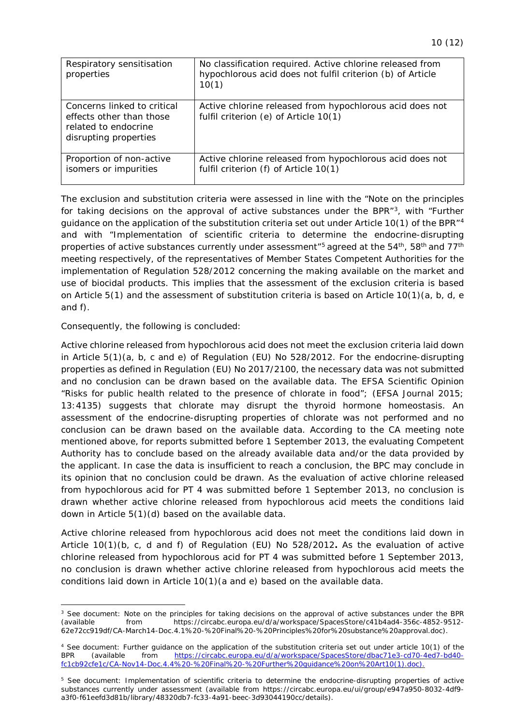<span id="page-9-1"></span>

| Respiratory sensitisation<br>properties                                                                  | No classification required. Active chlorine released from<br>hypochlorous acid does not fulfil criterion (b) of Article<br>10(1) |
|----------------------------------------------------------------------------------------------------------|----------------------------------------------------------------------------------------------------------------------------------|
| Concerns linked to critical<br>effects other than those<br>related to endocrine<br>disrupting properties | Active chlorine released from hypochlorous acid does not<br>fulfil criterion (e) of Article 10(1)                                |
| Proportion of non-active<br>isomers or impurities                                                        | Active chlorine released from hypochlorous acid does not<br>fulfil criterion (f) of Article 10(1)                                |

The exclusion and substitution criteria were assessed in line with the "Note on the principles for taking decisions on the approval of active substances under the BPR $^{n}$ [3,](#page-9-0) with "Further guidance on the application of the substitution criteria set out under Article 10(1) of the BPR"[4](#page-9-1) and with "Implementation of scientific criteria to determine the endocrine-disrupting properties of active substances currently under assessment<sup>"[5](#page-9-1)</sup> agreed at the 54<sup>th</sup>, 58<sup>th</sup> and 77<sup>th</sup> meeting respectively, of the representatives of Member States Competent Authorities for the implementation of Regulation 528/2012 concerning the making available on the market and use of biocidal products. This implies that the assessment of the exclusion criteria is based on Article 5(1) and the assessment of substitution criteria is based on Article 10(1)(a, b, d, e and f).

Consequently, the following is concluded:

Active chlorine released from hypochlorous acid does not meet the exclusion criteria laid down in Article 5(1)(a, b, c and e) of Regulation (EU) No 528/2012. For the endocrine-disrupting properties as defined in Regulation (EU) No 2017/2100, the necessary data was not submitted and no conclusion can be drawn based on the available data. The EFSA Scientific Opinion "Risks for public health related to the presence of chlorate in food"; (EFSA Journal 2015; 13:4135) suggests that chlorate may disrupt the thyroid hormone homeostasis. An assessment of the endocrine-disrupting properties of chlorate was not performed and no conclusion can be drawn based on the available data. According to the CA meeting note mentioned above, for reports submitted before 1 September 2013, the evaluating Competent Authority has to conclude based on the already available data and/or the data provided by the applicant. In case the data is insufficient to reach a conclusion, the BPC may conclude in its opinion that no conclusion could be drawn. As the evaluation of active chlorine released from hypochlorous acid for PT 4 was submitted before 1 September 2013, no conclusion is drawn whether active chlorine released from hypochlorous acid meets the conditions laid down in Article 5(1)(d) based on the available data.

Active chlorine released from hypochlorous acid does not meet the conditions laid down in Article 10(1)(b, c, d and f) of Regulation (EU) No 528/2012**.** As the evaluation of active chlorine released from hypochlorous acid for PT 4 was submitted before 1 September 2013, no conclusion is drawn whether active chlorine released from hypochlorous acid meets the conditions laid down in Article 10(1)(a and e) based on the available data.

<span id="page-9-0"></span><sup>&</sup>lt;sup>3</sup> See document: Note on the principles for taking decisions on the approval of active substances under the BPR (available from https://circabc.europa.eu/d/a/workspace/SpacesStore/c41b4ad4-356c-4852-9512-(available from https://circabc.europa.eu/d/a/workspace/SpacesStore/c41b4ad4-356c-4852-9512- 62e72cc919df/CA-March14-Doc.4.1%20-%20Final%20-%20Principles%20for%20substance%20approval.doc).

<sup>&</sup>lt;sup>4</sup> See document: Further guidance on the application of the substitution criteria set out under article 10(1) of the BPR (available from https://circabc.europa.eu/d/a/workspace/SpacesStore/dbac71e3-cd70-4ed7-bd40BPR (available from [https://circabc.europa.eu/d/a/workspace/SpacesStore/dbac71e3-cd70-4ed7-bd40](https://circabc.europa.eu/d/a/workspace/SpacesStore/dbac71e3-cd70-4ed7-bd40-fc1cb92cfe1c/CA-Nov14-Doc.4.4%20-%20Final%20-%20Further%20guidance%20on%20Art10(1).doc)) [fc1cb92cfe1c/CA-Nov14-Doc.4.4%20-%20Final%20-%20Further%20guidance%20on%20Art10\(1\).doc\).](https://circabc.europa.eu/d/a/workspace/SpacesStore/dbac71e3-cd70-4ed7-bd40-fc1cb92cfe1c/CA-Nov14-Doc.4.4%20-%20Final%20-%20Further%20guidance%20on%20Art10(1).doc))

<sup>&</sup>lt;sup>5</sup> See document: Implementation of scientific criteria to determine the endocrine-disrupting properties of active substances currently under assessment (available from https://circabc.europa.eu/ui/group/e947a950-8032-4df9 a3f0-f61eefd3d81b/library/48320db7-fc33-4a91-beec-3d93044190cc/details).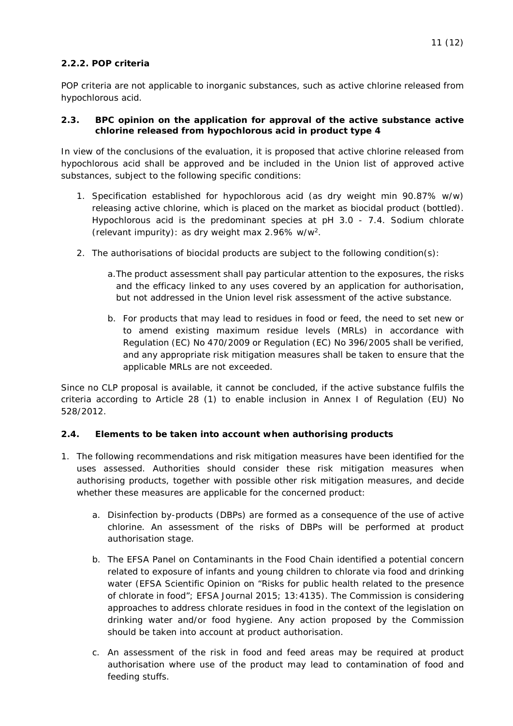#### **2.2.2. POP criteria**

POP criteria are not applicable to inorganic substances, such as active chlorine released from hypochlorous acid.

#### **2.3. BPC opinion on the application for approval of the active substance active chlorine released from hypochlorous acid in product type 4**

In view of the conclusions of the evaluation, it is proposed that active chlorine released from hypochlorous acid shall be approved and be included in the Union list of approved active substances, subject to the following specific conditions:

- 1. Specification established for hypochlorous acid (as dry weight min 90.87% w/w) releasing active chlorine, which is placed on the market as biocidal product (bottled). Hypochlorous acid is the predominant species at pH 3.0 - 7.4. Sodium chlorate (relevant impurity): as dry weight max 2.96% w/w2.
- 2. The authorisations of biocidal products are subject to the following condition(s):
	- a.The product assessment shall pay particular attention to the exposures, the risks and the efficacy linked to any uses covered by an application for authorisation, but not addressed in the Union level risk assessment of the active substance.
	- b. For products that may lead to residues in food or feed, the need to set new or to amend existing maximum residue levels (MRLs) in accordance with Regulation (EC) No 470/2009 or Regulation (EC) No 396/2005 shall be verified, and any appropriate risk mitigation measures shall be taken to ensure that the applicable MRLs are not exceeded.

Since no CLP proposal is available, it cannot be concluded, if the active substance fulfils the criteria according to Article 28 (1) to enable inclusion in Annex I of Regulation (EU) No 528/2012.

#### **2.4. Elements to be taken into account when authorising products**

- 1. The following recommendations and risk mitigation measures have been identified for the uses assessed. Authorities should consider these risk mitigation measures when authorising products, together with possible other risk mitigation measures, and decide whether these measures are applicable for the concerned product:
	- a. Disinfection by-products (DBPs) are formed as a consequence of the use of active chlorine. An assessment of the risks of DBPs will be performed at product authorisation stage.
	- b. The EFSA Panel on Contaminants in the Food Chain identified a potential concern related to exposure of infants and young children to chlorate via food and drinking water (EFSA Scientific Opinion on "Risks for public health related to the presence of chlorate in food"; EFSA Journal 2015; 13:4135). The Commission is considering approaches to address chlorate residues in food in the context of the legislation on drinking water and/or food hygiene. Any action proposed by the Commission should be taken into account at product authorisation.
	- c. An assessment of the risk in food and feed areas may be required at product authorisation where use of the product may lead to contamination of food and feeding stuffs.